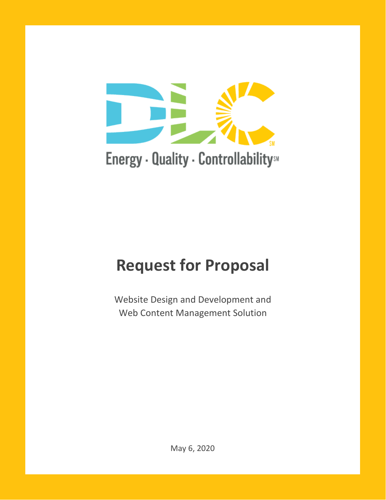

# Energy - Quality - ControllabilitysM

# **Request for Proposal**

Website Design and Development and Web Content Management Solution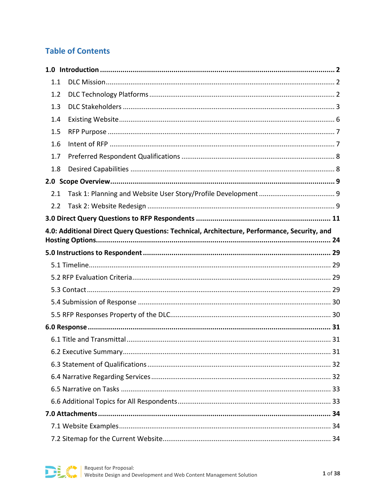# **Table of Contents**

| 1.1 |                                                                                             |  |  |
|-----|---------------------------------------------------------------------------------------------|--|--|
| 1.2 |                                                                                             |  |  |
| 1.3 |                                                                                             |  |  |
| 1.4 |                                                                                             |  |  |
| 1.5 |                                                                                             |  |  |
| 1.6 |                                                                                             |  |  |
| 1.7 |                                                                                             |  |  |
| 1.8 |                                                                                             |  |  |
|     |                                                                                             |  |  |
| 2.1 |                                                                                             |  |  |
| 2.2 |                                                                                             |  |  |
|     |                                                                                             |  |  |
|     | 4.0: Additional Direct Query Questions: Technical, Architecture, Performance, Security, and |  |  |
|     |                                                                                             |  |  |
|     |                                                                                             |  |  |
|     |                                                                                             |  |  |
|     |                                                                                             |  |  |
|     |                                                                                             |  |  |
|     |                                                                                             |  |  |
|     |                                                                                             |  |  |
|     |                                                                                             |  |  |
|     |                                                                                             |  |  |
|     |                                                                                             |  |  |
|     |                                                                                             |  |  |
|     |                                                                                             |  |  |
|     |                                                                                             |  |  |
|     |                                                                                             |  |  |
|     |                                                                                             |  |  |
|     |                                                                                             |  |  |
|     |                                                                                             |  |  |

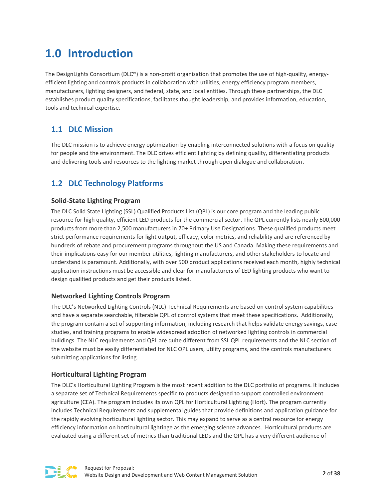# <span id="page-2-0"></span>**1.0 Introduction**

The DesignLights Consortium (DLC®) is a non-profit organization that promotes the use of high-quality, energyefficient lighting and controls products in collaboration with utilities, energy efficiency program members, manufacturers, lighting designers, and federal, state, and local entities. Through these partnerships, the DLC establishes product quality specifications, facilitates thought leadership, and provides information, education, tools and technical expertise.

# <span id="page-2-1"></span>**1.1 DLC Mission**

The DLC mission is to achieve energy optimization by enabling interconnected solutions with a focus on quality for people and the environment. The DLC drives efficient lighting by defining quality, differentiating products and delivering tools and resources to the lighting market through open dialogue and collaboration.

# <span id="page-2-2"></span>**1.2 DLC Technology Platforms**

#### **Solid-State Lighting Program**

The DLC Solid State Lighting (SSL) Qualified Products List (QPL) is our core program and the leading public resource for high quality, efficient LED products for the commercial sector. The QPL currently lists nearly 600,000 products from more than 2,500 manufacturers in 70+ Primary Use Designations. These qualified products meet strict performance requirements for light output, efficacy, color metrics, and reliability and are referenced by hundreds of rebate and procurement programs throughout the US and Canada. Making these requirements and their implications easy for our member utilities, lighting manufacturers, and other stakeholders to locate and understand is paramount. Additionally, with over 500 product applications received each month, highly technical application instructions must be accessible and clear for manufacturers of LED lighting products who want to design qualified products and get their products listed.

#### **Networked Lighting Controls Program**

The DLC's Networked Lighting Controls (NLC) Technical Requirements are based on control system capabilities and have a separate searchable, filterable QPL of control systems that meet these specifications. Additionally, the program contain a set of supporting information, including research that helps validate energy savings, case studies, and training programs to enable widespread adoption of networked lighting controls in commercial buildings. The NLC requirements and QPL are quite different from SSL QPL requirements and the NLC section of the website must be easily differentiated for NLC QPL users, utility programs, and the controls manufacturers submitting applications for listing.

#### **Horticultural Lighting Program**

The DLC's Horticultural Lighting Program is the most recent addition to the DLC portfolio of programs. It includes a separate set of Technical Requirements specific to products designed to support controlled environment agriculture (CEA). The program includes its own QPL for Horticultural Lighting (Hort). The program currently includes Technical Requirements and supplemental guides that provide definitions and application guidance for the rapidly evolving horticultural lighting sector. This may expand to serve as a central resource for energy efficiency information on horticultural lightinge as the emerging science advances. Horticultural products are evaluated using a different set of metrics than traditional LEDs and the QPL has a very different audience of

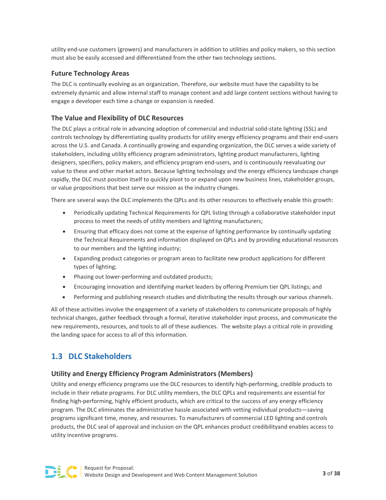utility end-use customers (growers) and manufacturers in addition to utilities and policy makers, so this section must also be easily accessed and differentiated from the other two technology sections.

#### **Future Technology Areas**

The DLC is continually evolving as an organization. Therefore, our website must have the capability to be extremely dynamic and allow internal staff to manage content and add large content sections without having to engage a developer each time a change or expansion is needed.

#### **The Value and Flexibility of DLC Resources**

The DLC plays a critical role in advancing adoption of commercial and industrial solid-state lighting (SSL) and controls technology by differentiating quality products for utility energy efficiency programs and their end-users across the U.S. and Canada. A continually growing and expanding organization, the DLC serves a wide variety of stakeholders, including utility efficiency program administrators, lighting product manufacturers, lighting designers, specifiers, policy makers, and efficiency program end-users, and is continuously reevaluating our value to these and other market actors. Because lighting technology and the energy efficiency landscape change rapidly, the DLC must position itself to quickly pivot to or expand upon new business lines, stakeholder groups, or value propositions that best serve our mission as the industry changes.

There are several ways the DLC implements the QPLs and its other resources to effectively enable this growth:

- Periodically updating Technical Requirements for QPL listing through a collaborative stakeholder input process to meet the needs of utility members and lighting manufacturers;
- Ensuring that efficacy does not come at the expense of lighting performance by continually updating the Technical Requirements and information displayed on QPLs and by providing educational resources to our members and the lighting industry;
- Expanding product categories or program areas to facilitate new product applications for different types of lighting;
- Phasing out lower-performing and outdated products;
- Encouraging innovation and identifying market leaders by offering Premium tier QPL listings; and
- Performing and publishing research studies and distributing the results through our various channels.

All of these activities involve the engagement of a variety of stakeholders to communicate proposals of highly technical changes, gather feedback through a formal, iterative stakeholder input process, and communicate the new requirements, resources, and tools to all of these audiences. The website plays a critical role in providing the landing space for access to all of this information.

# <span id="page-3-0"></span>**1.3 DLC Stakeholders**

#### **Utility and Energy Efficiency Program Administrators (Members)**

Utility and energy efficiency programs use the DLC resources to identify high-performing, credible products to include in their rebate programs. For DLC utility members, the DLC QPLs and requirements are essential for finding high-performing, highly efficient products, which are critical to the success of any energy efficiency program. The DLC eliminates the administrative hassle associated with vetting individual products—saving programs significant time, money, and resources. To manufacturers of commercial LED lighting and controls products, the DLC seal of approval and inclusion on the QPL enhances product credibilityand enables access to utility incentive programs.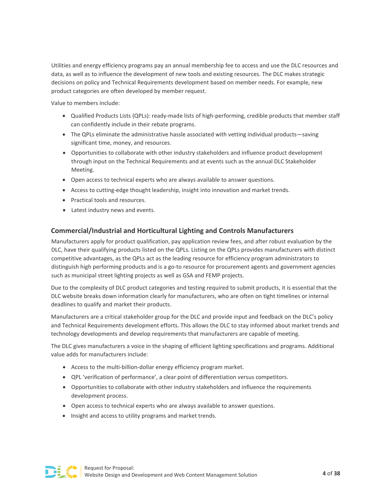Utilities and energy efficiency programs pay an annual membership fee to access and use the DLC resources and data, as well as to influence the development of new tools and existing resources. The DLC makes strategic decisions on policy and Technical Requirements development based on member needs. For example, new product categories are often developed by member request.

Value to members include:

- Qualified Products Lists (QPLs): ready-made lists of high-performing, credible products that member staff can confidently include in their rebate programs.
- The QPLs eliminate the administrative hassle associated with vetting individual products—saving significant time, money, and resources.
- Opportunities to collaborate with other industry stakeholders and influence product development through input on the Technical Requirements and at events such as the annual DLC Stakeholder Meeting.
- Open access to technical experts who are always available to answer questions.
- Access to cutting-edge thought leadership, insight into innovation and market trends.
- Practical tools and resources.
- Latest industry news and events.

#### **Commercial/Industrial and Horticultural Lighting and Controls Manufacturers**

Manufacturers apply for product qualification, pay application review fees, and after robust evaluation by the DLC, have their qualifying products listed on the QPLs. Listing on the QPLs provides manufacturers with distinct competitive advantages, as the QPLs act as the leading resource for efficiency program administrators to distinguish high performing products and is a go-to resource for procurement agents and government agencies such as municipal street lighting projects as well as GSA and FEMP projects.

Due to the complexity of DLC product categories and testing required to submit products, it is essential that the DLC website breaks down information clearly for manufacturers, who are often on tight timelines or internal deadlines to qualify and market their products.

Manufacturers are a critical stakeholder group for the DLC and provide input and feedback on the DLC's policy and Technical Requirements development efforts. This allows the DLC to stay informed about market trends and technology developments and develop requirements that manufacturers are capable of meeting.

The DLC gives manufacturers a voice in the shaping of efficient lighting specifications and programs. Additional value adds for manufacturers include:

- Access to the multi-billion-dollar energy efficiency program market.
- QPL 'verification of performance', a clear point of differentiation versus competitors.
- Opportunities to collaborate with other industry stakeholders and influence the requirements development process.
- Open access to technical experts who are always available to answer questions.
- Insight and access to utility programs and market trends.

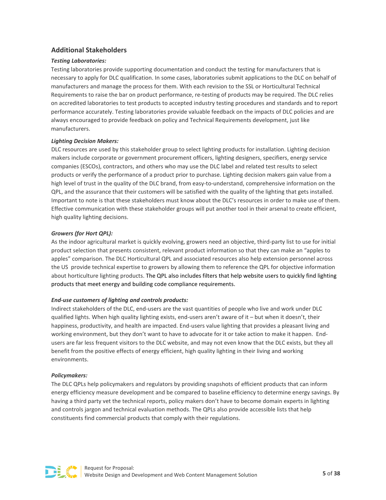#### **Additional Stakeholders**

#### *Testing Laboratories:*

Testing laboratories provide supporting documentation and conduct the testing for manufacturers that is necessary to apply for DLC qualification. In some cases, laboratories submit applications to the DLC on behalf of manufacturers and manage the process for them. With each revision to the SSL or Horticultural Technical Requirements to raise the bar on product performance, re-testing of products may be required. The DLC relies on accredited laboratories to test products to accepted industry testing procedures and standards and to report performance accurately. Testing laboratories provide valuable feedback on the impacts of DLC policies and are always encouraged to provide feedback on policy and Technical Requirements development, just like manufacturers.

#### *Lighting Decision Makers:*

DLC resources are used by this stakeholder group to select lighting products for installation. Lighting decision makers include corporate or government procurement officers, lighting designers, specifiers, energy service companies (ESCOs), contractors, and others who may use the DLC label and related test results to select products or verify the performance of a product prior to purchase. Lighting decision makers gain value from a high level of trust in the quality of the DLC brand, from easy-to-understand, comprehensive information on the QPL, and the assurance that their customers will be satisfied with the quality of the lighting that gets installed. Important to note is that these stakeholders must know about the DLC's resources in order to make use of them. Effective communication with these stakeholder groups will put another tool in their arsenal to create efficient, high quality lighting decisions.

#### *Growers (for Hort QPL):*

As the indoor agricultural market is quickly evolving, growers need an objective, third-party list to use for initial product selection that presents consistent, relevant product information so that they can make an "apples to apples" comparison. The DLC Horticultural QPL and associated resources also help extension personnel across the US provide technical expertise to growers by allowing them to reference the QPL for objective information about horticulture lighting products. The QPL also includes filters that help website users to quickly find lighting products that meet energy and building code compliance requirements.

#### *End-use customers of lighting and controls products:*

Indirect stakeholders of the DLC, end-users are the vast quantities of people who live and work under DLC qualified lights. When high quality lighting exists, end-users aren't aware of it – but when it doesn't, their happiness, productivity, and health are impacted. End-users value lighting that provides a pleasant living and working environment, but they don't want to have to advocate for it or take action to make it happen. Endusers are far less frequent visitors to the DLC website, and may not even know that the DLC exists, but they all benefit from the positive effects of energy efficient, high quality lighting in their living and working environments.

#### *Policymakers:*

The DLC QPLs help policymakers and regulators by providing snapshots of efficient products that can inform energy efficiency measure development and be compared to baseline efficiency to determine energy savings. By having a third party vet the technical reports, policy makers don't have to become domain experts in lighting and controls jargon and technical evaluation methods. The QPLs also provide accessible lists that help constituents find commercial products that comply with their regulations.

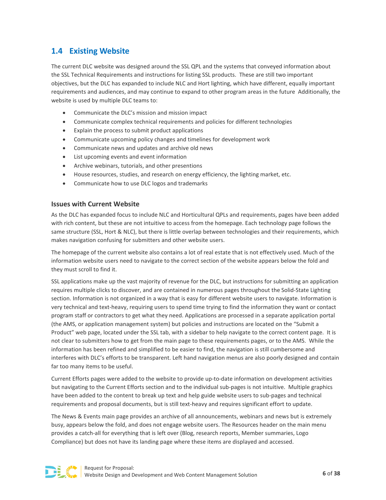# <span id="page-6-0"></span>**1.4 Existing Website**

The current DLC website was designed around the SSL QPL and the systems that conveyed information about the SSL Technical Requirements and instructions for listing SSL products. These are still two important objectives, but the DLC has expanded to include NLC and Hort lighting, which have different, equally important requirements and audiences, and may continue to expand to other program areas in the future Additionally, the website is used by multiple DLC teams to:

- Communicate the DLC's mission and mission impact
- Communicate complex technical requirements and policies for different technologies
- Explain the process to submit product applications
- Communicate upcoming policy changes and timelines for development work
- Communicate news and updates and archive old news
- List upcoming events and event information
- Archive webinars, tutorials, and other presentions
- House resources, studies, and research on energy efficiency, the lighting market, etc.
- Communicate how to use DLC logos and trademarks

#### **Issues with Current Website**

As the DLC has expanded focus to include NLC and Horticultural QPLs and requirements, pages have been added with rich content, but these are not intuitive to access from the homepage. Each technology page follows the same structure (SSL, Hort & NLC), but there is little overlap between technologies and their requirements, which makes navigation confusing for submitters and other website users.

The homepage of the current website also contains a lot of real estate that is not effectively used. Much of the information website users need to navigate to the correct section of the website appears below the fold and they must scroll to find it.

SSL applications make up the vast majority of revenue for the DLC, but instructions for submitting an application requires multiple clicks to discover, and are contained in numerous pages throughout the Solid-State Lighting section. Information is not organized in a way that is easy for different website users to navigate. Information is very technical and text-heavy, requiring users to spend time trying to find the information they want or contact program staff or contractors to get what they need. Applications are processed in a separate application portal (the AMS, or application management system) but policies and instructions are located on the "Submit a Product" web page, located under the SSL tab, with a sidebar to help navigate to the correct content page. It is not clear to submitters how to get from the main page to these requirements pages, or to the AMS. While the information has been refined and simplified to be easier to find, the navigation is still cumbersome and interferes with DLC's efforts to be transparent. Left hand navigation menus are also poorly designed and contain far too many items to be useful.

Current Efforts pages were added to the website to provide up-to-date information on development activities but navigating to the Current Efforts section and to the individual sub-pages is not intuitive. Multiple graphics have been added to the content to break up text and help guide website users to sub-pages and technical requirements and proposal documents, but is still text-heavy and requires significant effort to update.

The News & Events main page provides an archive of all announcements, webinars and news but is extremely busy, appears below the fold, and does not engage website users. The Resources header on the main menu provides a catch-all for everything that is left over (Blog, research reports, Member summaries, Logo Compliance) but does not have its landing page where these items are displayed and accessed.

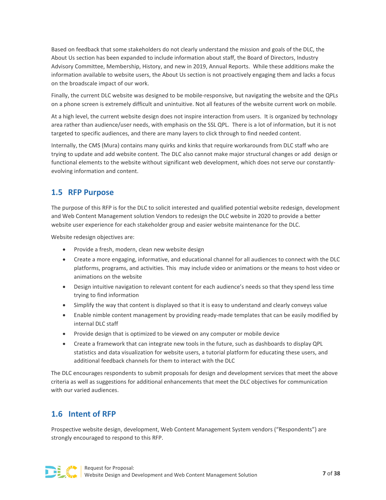Based on feedback that some stakeholders do not clearly understand the mission and goals of the DLC, the About Us section has been expanded to include information about staff, the Board of Directors, Industry Advisory Committee, Membership, History, and new in 2019, Annual Reports. While these additions make the information available to website users, the About Us section is not proactively engaging them and lacks a focus on the broadscale impact of our work.

Finally, the current DLC website was designed to be mobile-responsive, but navigating the website and the QPLs on a phone screen is extremely difficult and unintuitive. Not all features of the website current work on mobile.

At a high level, the current website design does not inspire interaction from users. It is organized by technology area rather than audience/user needs, with emphasis on the SSL QPL. There is a lot of information, but it is not targeted to specific audiences, and there are many layers to click through to find needed content.

Internally, the CMS (Mura) contains many quirks and kinks that require workarounds from DLC staff who are trying to update and add website content. The DLC also cannot make major structural changes or add design or functional elements to the website without significant web development, which does not serve our constantlyevolving information and content.

# <span id="page-7-0"></span>**1.5 RFP Purpose**

The purpose of this RFP is for the DLC to solicit interested and qualified potential website redesign, development and Web Content Management solution Vendors to redesign the DLC website in 2020 to provide a better website user experience for each stakeholder group and easier website maintenance for the DLC.

Website redesign objectives are:

- Provide a fresh, modern, clean new website design
- Create a more engaging, informative, and educational channel for all audiences to connect with the DLC platforms, programs, and activities. This may include video or animations or the means to host video or animations on the website
- Design intuitive navigation to relevant content for each audience's needs so that they spend less time trying to find information
- Simplify the way that content is displayed so that it is easy to understand and clearly conveys value
- Enable nimble content management by providing ready-made templates that can be easily modified by internal DLC staff
- Provide design that is optimized to be viewed on any computer or mobile device
- Create a framework that can integrate new tools in the future, such as dashboards to display QPL statistics and data visualization for website users, a tutorial platform for educating these users, and additional feedback channels for them to interact with the DLC

The DLC encourages respondents to submit proposals for design and development services that meet the above criteria as well as suggestions for additional enhancements that meet the DLC objectives for communication with our varied audiences.

# <span id="page-7-1"></span>**1.6 Intent of RFP**

Prospective website design, development, Web Content Management System vendors ("Respondents") are strongly encouraged to respond to this RFP.

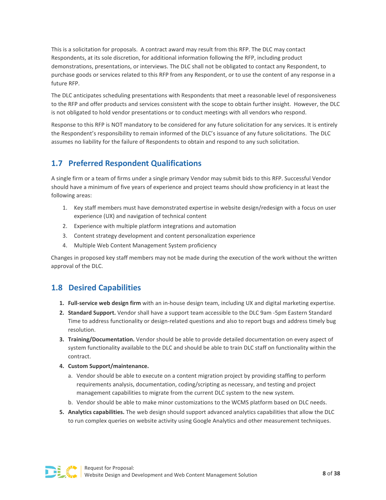This is a solicitation for proposals. A contract award may result from this RFP. The DLC may contact Respondents, at its sole discretion, for additional information following the RFP, including product demonstrations, presentations, or interviews. The DLC shall not be obligated to contact any Respondent, to purchase goods or services related to this RFP from any Respondent, or to use the content of any response in a future RFP.

The DLC anticipates scheduling presentations with Respondents that meet a reasonable level of responsiveness to the RFP and offer products and services consistent with the scope to obtain further insight. However, the DLC is not obligated to hold vendor presentations or to conduct meetings with all vendors who respond.

Response to this RFP is NOT mandatory to be considered for any future solicitation for any services. It is entirely the Respondent's responsibility to remain informed of the DLC's issuance of any future solicitations. The DLC assumes no liability for the failure of Respondents to obtain and respond to any such solicitation.

# <span id="page-8-0"></span>**1.7 Preferred Respondent Qualifications**

A single firm or a team of firms under a single primary Vendor may submit bids to this RFP. Successful Vendor should have a minimum of five years of experience and project teams should show proficiency in at least the following areas:

- 1. Key staff members must have demonstrated expertise in website design/redesign with a focus on user experience (UX) and navigation of technical content
- 2. Experience with multiple platform integrations and automation
- 3. Content strategy development and content personalization experience
- 4. Multiple Web Content Management System proficiency

Changes in proposed key staff members may not be made during the execution of the work without the written approval of the DLC.

# <span id="page-8-1"></span>**1.8 Desired Capabilities**

- **1. Full-service web design firm** with an in-house design team, including UX and digital marketing expertise.
- **2. Standard Support.** Vendor shall have a support team accessible to the DLC 9am -5pm Eastern Standard Time to address functionality or design-related questions and also to report bugs and address timely bug resolution.
- **3. Training/Documentation.** Vendor should be able to provide detailed documentation on every aspect of system functionality available to the DLC and should be able to train DLC staff on functionality within the contract.
- **4. Custom Support/maintenance.**
	- a. Vendor should be able to execute on a content migration project by providing staffing to perform requirements analysis, documentation, coding/scripting as necessary, and testing and project management capabilities to migrate from the current DLC system to the new system.
	- b. Vendor should be able to make minor customizations to the WCMS platform based on DLC needs.
- **5. Analytics capabilities.** The web design should support advanced analytics capabilities that allow the DLC to run complex queries on website activity using Google Analytics and other measurement techniques.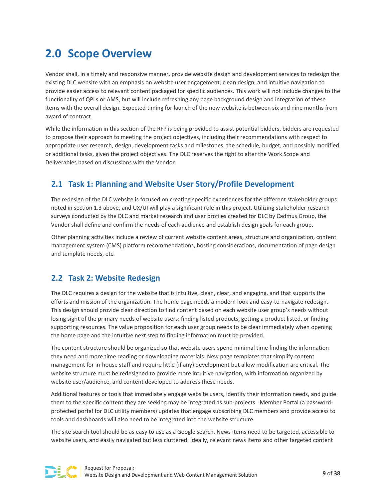# <span id="page-9-0"></span>**2.0 Scope Overview**

Vendor shall, in a timely and responsive manner, provide website design and development services to redesign the existing DLC website with an emphasis on website user engagement, clean design, and intuitive navigation to provide easier access to relevant content packaged for specific audiences. This work will not include changes to the functionality of QPLs or AMS, but will include refreshing any page background design and integration of these items with the overall design. Expected timing for launch of the new website is between six and nine months from award of contract.

While the information in this section of the RFP is being provided to assist potential bidders, bidders are requested to propose their approach to meeting the project objectives, including their recommendations with respect to appropriate user research, design, development tasks and milestones, the schedule, budget, and possibly modified or additional tasks, given the project objectives. The DLC reserves the right to alter the Work Scope and Deliverables based on discussions with the Vendor.

# <span id="page-9-1"></span>**2.1 Task 1: Planning and Website User Story/Profile Development**

The redesign of the DLC website is focused on creating specific experiences for the different stakeholder groups noted in section 1.3 above, and UX/UI will play a significant role in this project. Utilizing stakeholder research surveys conducted by the DLC and market research and user profiles created for DLC by Cadmus Group, the Vendor shall define and confirm the needs of each audience and establish design goals for each group.

Other planning activities include a review of current website content areas, structure and organization, content management system (CMS) platform recommendations, hosting considerations, documentation of page design and template needs, etc.

# <span id="page-9-2"></span>**2.2 Task 2: Website Redesign**

The DLC requires a design for the website that is intuitive, clean, clear, and engaging, and that supports the efforts and mission of the organization. The home page needs a modern look and easy-to-navigate redesign. This design should provide clear direction to find content based on each website user group's needs without losing sight of the primary needs of website users: finding listed products, getting a product listed, or finding supporting resources. The value proposition for each user group needs to be clear immediately when opening the home page and the intuitive next step to finding information must be provided.

The content structure should be organized so that website users spend minimal time finding the information they need and more time reading or downloading materials. New page templates that simplify content management for in-house staff and require little (if any) development but allow modification are critical. The website structure must be redesigned to provide more intuitive navigation, with information organized by website user/audience, and content developed to address these needs.

Additional features or tools that immediately engage website users, identify their information needs, and guide them to the specific content they are seeking may be integrated as sub-projects. Member Portal (a passwordprotected portal for DLC utility members) updates that engage subscribing DLC members and provide access to tools and dashboards will also need to be integrated into the website structure.

The site search tool should be as easy to use as a Google search. News items need to be targeted, accessible to website users, and easily navigated but less cluttered. Ideally, relevant news items and other targeted content

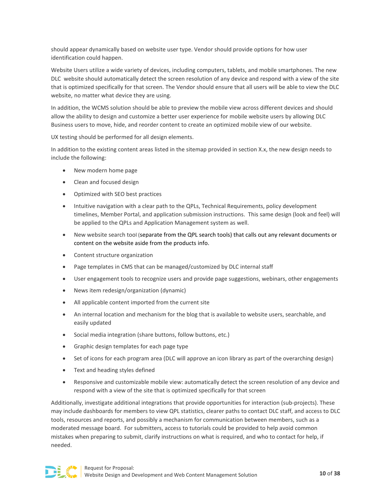should appear dynamically based on website user type. Vendor should provide options for how user identification could happen.

Website Users utilize a wide variety of devices, including computers, tablets, and mobile smartphones. The new DLC website should automatically detect the screen resolution of any device and respond with a view of the site that is optimized specifically for that screen. The Vendor should ensure that all users will be able to view the DLC website, no matter what device they are using.

In addition, the WCMS solution should be able to preview the mobile view across different devices and should allow the ability to design and customize a better user experience for mobile website users by allowing DLC Business users to move, hide, and reorder content to create an optimized mobile view of our website.

UX testing should be performed for all design elements.

In addition to the existing content areas listed in the sitemap provided in section X.x, the new design needs to include the following:

- New modern home page
- Clean and focused design
- Optimized with SEO best practices
- Intuitive navigation with a clear path to the QPLs, Technical Requirements, policy development timelines, Member Portal, and application submission instructions. This same design (look and feel) will be applied to the QPLs and Application Management system as well.
- New website search tool (separate from the QPL search tools) that calls out any relevant documents or content on the website aside from the products info.
- Content structure organization
- Page templates in CMS that can be managed/customized by DLC internal staff
- User engagement tools to recognize users and provide page suggestions, webinars, other engagements
- News item redesign/organization (dynamic)
- All applicable content imported from the current site
- An internal location and mechanism for the blog that is available to website users, searchable, and easily updated
- Social media integration (share buttons, follow buttons, etc.)
- Graphic design templates for each page type
- Set of icons for each program area (DLC will approve an icon library as part of the overarching design)
- Text and heading styles defined
- Responsive and customizable mobile view: automatically detect the screen resolution of any device and respond with a view of the site that is optimized specifically for that screen

Additionally, investigate additional integrations that provide opportunities for interaction (sub-projects). These may include dashboards for members to view QPL statistics, clearer paths to contact DLC staff, and access to DLC tools, resources and reports, and possibly a mechanism for communication between members, such as a moderated message board. For submitters, access to tutorials could be provided to help avoid common mistakes when preparing to submit, clarify instructions on what is required, and who to contact for help, if needed.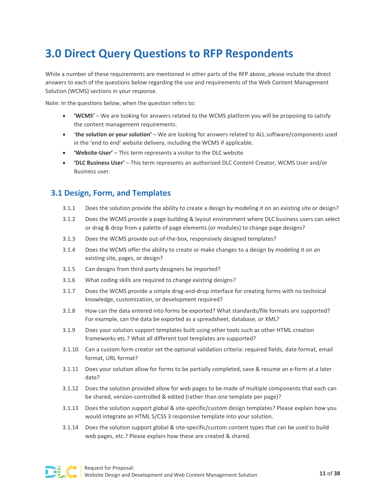# <span id="page-11-0"></span>**3.0 Direct Query Questions to RFP Respondents**

While a number of these requirements are mentioned in other parts of the RFP above, please include the direct answers to each of the questions below regarding the use and requirements of the Web Content Management Solution (WCMS) sections in your response.

Note: In the questions below, when the question refers to:

- **'WCMS'** We are looking for answers related to the WCMS platform you will be proposing to satisfy the content management requirements.
- '**the solution or your solution'** We are looking for answers related to ALL software/components used in the 'end to end' website delivery, including the WCMS if applicable.
- **'Website-User'** This term represents a visitor to the DLC website
- **'DLC Business User'** This term represents an authorized DLC Content Creator, WCMS User and/or Business user.

# **3.1 Design, Form, and Templates**

- 3.1.1 Does the solution provide the ability to create a design by modeling it on an existing site or design?
- 3.1.2 Does the WCMS provide a page building & layout environment where DLC business users can select or drag & drop from a palette of page elements (or modules) to change page designs?
- 3.1.3 Does the WCMS provide out-of-the-box, responsively designed templates?
- 3.1.4 Does the WCMS offer the ability to create or make changes to a design by modeling it on an existing site, pages, or design?
- 3.1.5 Can designs from third-party designers be imported?
- 3.1.6 What coding skills are required to change existing designs?
- 3.1.7 Does the WCMS provide a simple drag-and-drop interface for creating forms with no technical knowledge, customization, or development required?
- 3.1.8 How can the data entered into forms be exported? What standards/file formats are supported? For example, can the data be exported as a spreadsheet, database, or XML?
- 3.1.9 Does your solution support templates built using other tools such as other HTML creation frameworks etc.? What all different tool templates are supported?
- 3.1.10 Can a custom form creator set the optional validation criteria: required fields, date format, email format, URL format?
- 3.1.11 Does your solution allow for forms to be partially completed, save & resume an e-form at a later date?
- 3.1.12 Does the solution provided allow for web pages to be made of multiple components that each can be shared, version-controlled & edited (rather than one template per page)?
- 3.1.13 Does the solution support global & site-specific/custom design templates? Please explain how you would integrate an HTML 5/CSS 3 responsive template into your solution.
- 3.1.14 Does the solution support global & site-specific/custom content types that can be used to build web pages, etc.? Please explain how these are created & shared.

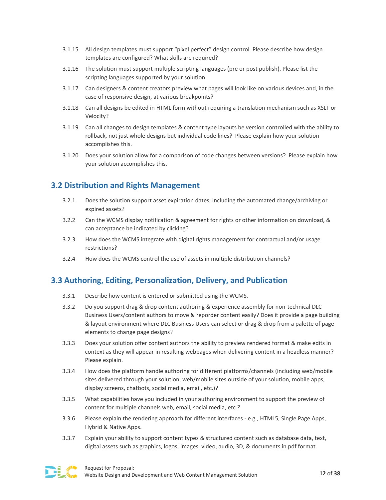- 3.1.15 All design templates must support "pixel perfect" design control. Please describe how design templates are configured? What skills are required?
- 3.1.16 The solution must support multiple scripting languages (pre or post publish). Please list the scripting languages supported by your solution.
- 3.1.17 Can designers & content creators preview what pages will look like on various devices and, in the case of responsive design, at various breakpoints?
- 3.1.18 Can all designs be edited in HTML form without requiring a translation mechanism such as XSLT or Velocity?
- 3.1.19 Can all changes to design templates & content type layouts be version controlled with the ability to rollback, not just whole designs but individual code lines? Please explain how your solution accomplishes this.
- 3.1.20 Does your solution allow for a comparison of code changes between versions? Please explain how your solution accomplishes this.

# **3.2 Distribution and Rights Management**

- 3.2.1 Does the solution support asset expiration dates, including the automated change/archiving or expired assets?
- 3.2.2 Can the WCMS display notification & agreement for rights or other information on download, & can acceptance be indicated by clicking?
- 3.2.3 How does the WCMS integrate with digital rights management for contractual and/or usage restrictions?
- 3.2.4 How does the WCMS control the use of assets in multiple distribution channels?

# **3.3 Authoring, Editing, Personalization, Delivery, and Publication**

- 3.3.1 Describe how content is entered or submitted using the WCMS.
- 3.3.2 Do you support drag & drop content authoring & experience assembly for non-technical DLC Business Users/content authors to move & reporder content easily? Does it provide a page building & layout environment where DLC Business Users can select or drag & drop from a palette of page elements to change page designs?
- 3.3.3 Does your solution offer content authors the ability to preview rendered format & make edits in context as they will appear in resulting webpages when delivering content in a headless manner? Please explain.
- 3.3.4 How does the platform handle authoring for different platforms/channels (including web/mobile sites delivered through your solution, web/mobile sites outside of your solution, mobile apps, display screens, chatbots, social media, email, etc.)?
- 3.3.5 What capabilities have you included in your authoring environment to support the preview of content for multiple channels web, email, social media, etc.?
- 3.3.6 Please explain the rendering approach for different interfaces e.g., HTML5, Single Page Apps, Hybrid & Native Apps.
- 3.3.7 Explain your ability to support content types & structured content such as database data, text, digital assets such as graphics, logos, images, video, audio, 3D, & documents in pdf format.

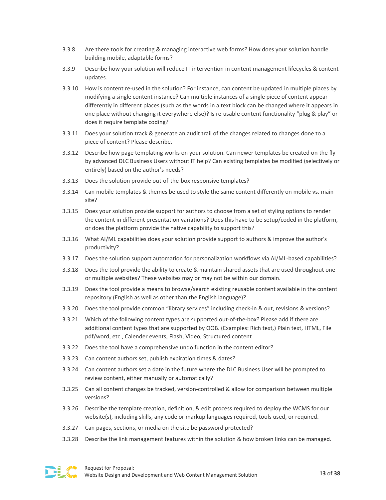- 3.3.8 Are there tools for creating & managing interactive web forms? How does your solution handle building mobile, adaptable forms?
- 3.3.9 Describe how your solution will reduce IT intervention in content management lifecycles & content updates.
- 3.3.10 How is content re-used in the solution? For instance, can content be updated in multiple places by modifying a single content instance? Can multiple instances of a single piece of content appear differently in different places (such as the words in a text block can be changed where it appears in one place without changing it everywhere else)? Is re-usable content functionality "plug & play" or does it require template coding?
- 3.3.11 Does your solution track & generate an audit trail of the changes related to changes done to a piece of content? Please describe.
- 3.3.12 Describe how page templating works on your solution. Can newer templates be created on the fly by advanced DLC Business Users without IT help? Can existing templates be modified (selectively or entirely) based on the author's needs?
- 3.3.13 Does the solution provide out-of-the-box responsive templates?
- 3.3.14 Can mobile templates & themes be used to style the same content differently on mobile vs. main site?
- 3.3.15 Does your solution provide support for authors to choose from a set of styling options to render the content in different presentation variations? Does this have to be setup/coded in the platform, or does the platform provide the native capability to support this?
- 3.3.16 What AI/ML capabilities does your solution provide support to authors & improve the author's productivity?
- 3.3.17 Does the solution support automation for personalization workflows via AI/ML-based capabilities?
- 3.3.18 Does the tool provide the ability to create & maintain shared assets that are used throughout one or multiple websites? These websites may or may not be within our domain.
- 3.3.19 Does the tool provide a means to browse/search existing reusable content available in the content repository (English as well as other than the English language)?
- 3.3.20 Does the tool provide common "library services" including check-in & out, revisions & versions?
- 3.3.21 Which of the following content types are supported out-of-the-box? Please add if there are additional content types that are supported by OOB. (Examples: Rich text,) Plain text, HTML, File pdf/word, etc., Calender events, Flash, Video, Structured content
- 3.3.22 Does the tool have a comprehensive undo function in the content editor?
- 3.3.23 Can content authors set, publish expiration times & dates?
- 3.3.24 Can content authors set a date in the future where the DLC Business User will be prompted to review content, either manually or automatically?
- 3.3.25 Can all content changes be tracked, version-controlled & allow for comparison between multiple versions?
- 3.3.26 Describe the template creation, definition, & edit process required to deploy the WCMS for our website(s), including skills, any code or markup languages required, tools used, or required.
- 3.3.27 Can pages, sections, or media on the site be password protected?
- 3.3.28 Describe the link management features within the solution & how broken links can be managed.

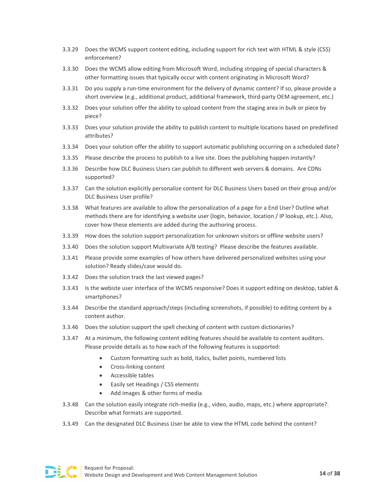- 3.3.29 Does the WCMS support content editing, including support for rich text with HTML & style (CSS) enforcement?
- 3.3.30 Does the WCMS allow editing from Microsoft Word, including stripping of special characters & other formatting issues that typically occur with content originating in Microsoft Word?
- 3.3.31 Do you supply a run-time environment for the delivery of dynamic content? If so, please provide a short overview (e.g., additional product, additional framework, third-party OEM agreement, etc.)
- 3.3.32 Does your solution offer the ability to upload content from the staging area in bulk or piece by piece?
- 3.3.33 Does your solution provide the ability to publish content to multiple locations based on predefined attributes?
- 3.3.34 Does your solution offer the ability to support automatic publishing occurring on a scheduled date?
- 3.3.35 Please describe the process to publish to a live site. Does the publishing happen instantly?
- 3.3.36 Describe how DLC Business Users can publish to different web servers & domains. Are CDNs supported?
- 3.3.37 Can the solution explicitly personalize content for DLC Business Users based on their group and/or DLC Business User profile?
- 3.3.38 What features are available to allow the personalization of a page for a End User? Outline what methods there are for identifying a website user (login, behavior, location / IP lookup, etc.). Also, cover how these elements are added during the authoring process.
- 3.3.39 How does the solution support personalization for unknown visitors or offline website users?
- 3.3.40 Does the solution support Multivariate A/B testing? Please describe the features available.
- 3.3.41 Please provide some examples of how others have delivered personalized websites using your solution? Ready slides/case would do.
- 3.3.42 Does the solution track the last viewed pages?
- 3.3.43 Is the webiste user interface of the WCMS responsive? Does it support editing on desktop, tablet & smartphones?
- 3.3.44 Describe the standard approach/steps (including screenshots, if possible) to editing content by a content author.
- 3.3.46 Does the solution support the spell checking of content with custom dictionaries?
- 3.3.47 At a minimum, the following content editing features should be available to content auditors. Please provide details as to how each of the following features is supported:
	- Custom formatting such as bold, italics, bullet points, numbered lists
	- Cross-linking content
	- Accessible tables
	- Easily set Headings / CSS elements
	- Add images & other forms of media
- 3.3.48 Can the solution easily integrate rich-media (e.g., video, audio, maps, etc.) where appropriate?. Describe what formats are supported.
- 3.3.49 Can the designated DLC Business User be able to view the HTML code behind the content?

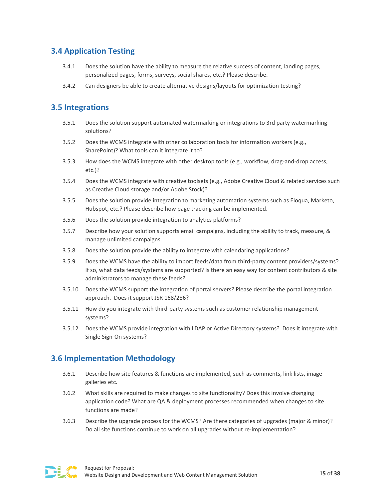# **3.4 Application Testing**

- 3.4.1 Does the solution have the ability to measure the relative success of content, landing pages, personalized pages, forms, surveys, social shares, etc.? Please describe.
- 3.4.2 Can designers be able to create alternative designs/layouts for optimization testing?

# **3.5 Integrations**

- 3.5.1 Does the solution support automated watermarking or integrations to 3rd party watermarking solutions?
- 3.5.2 Does the WCMS integrate with other collaboration tools for information workers (e.g., SharePoint)? What tools can it integrate it to?
- 3.5.3 How does the WCMS integrate with other desktop tools (e.g., workflow, drag-and-drop access, etc.)?
- 3.5.4 Does the WCMS integrate with creative toolsets (e.g., Adobe Creative Cloud & related services such as Creative Cloud storage and/or Adobe Stock)?
- 3.5.5 Does the solution provide integration to marketing automation systems such as Eloqua, Marketo, Hubspot, etc.? Please describe how page tracking can be implemented.
- 3.5.6 Does the solution provide integration to analytics platforms?
- 3.5.7 Describe how your solution supports email campaigns, including the ability to track, measure, & manage unlimited campaigns.
- 3.5.8 Does the solution provide the ability to integrate with calendaring applications?
- 3.5.9 Does the WCMS have the ability to import feeds/data from third-party content providers/systems? If so, what data feeds/systems are supported? Is there an easy way for content contributors & site administrators to manage these feeds?
- 3.5.10 Does the WCMS support the integration of portal servers? Please describe the portal integration approach. Does it support JSR 168/286?
- 3.5.11 How do you integrate with third-party systems such as customer relationship management systems?
- 3.5.12 Does the WCMS provide integration with LDAP or Active Directory systems? Does it integrate with Single Sign-On systems?

# **3.6 Implementation Methodology**

- 3.6.1 Describe how site features & functions are implemented, such as comments, link lists, image galleries etc.
- 3.6.2 What skills are required to make changes to site functionality? Does this involve changing application code? What are QA & deployment processes recommended when changes to site functions are made?
- 3.6.3 Describe the upgrade process for the WCMS? Are there categories of upgrades (major & minor)? Do all site functions continue to work on all upgrades without re-implementation?

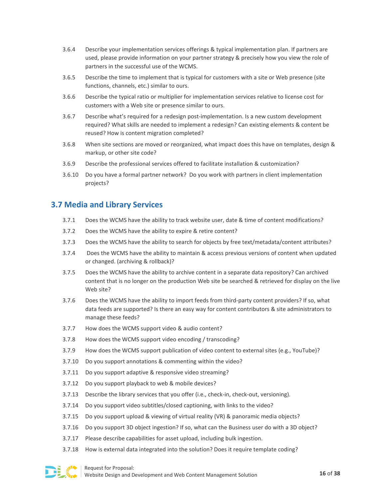- 3.6.4 Describe your implementation services offerings & typical implementation plan. If partners are used, please provide information on your partner strategy & precisely how you view the role of partners in the successful use of the WCMS.
- 3.6.5 Describe the time to implement that is typical for customers with a site or Web presence (site functions, channels, etc.) similar to ours.
- 3.6.6 Describe the typical ratio or multiplier for implementation services relative to license cost for customers with a Web site or presence similar to ours.
- 3.6.7 Describe what's required for a redesign post-implementation. Is a new custom development required? What skills are needed to implement a redesign? Can existing elements & content be reused? How is content migration completed?
- 3.6.8 When site sections are moved or reorganized, what impact does this have on templates, design & markup, or other site code?
- 3.6.9 Describe the professional services offered to facilitate installation & customization?
- 3.6.10 Do you have a formal partner network? Do you work with partners in client implementation projects?

# **3.7 Media and Library Services**

- 3.7.1 Does the WCMS have the ability to track website user, date & time of content modifications?
- 3.7.2 Does the WCMS have the ability to expire & retire content?
- 3.7.3 Does the WCMS have the ability to search for objects by free text/metadata/content attributes?
- 3.7.4 Does the WCMS have the ability to maintain & access previous versions of content when updated or changed. (archiving & rollback)?
- 3.7.5 Does the WCMS have the ability to archive content in a separate data repository? Can archived content that is no longer on the production Web site be searched & retrieved for display on the live Web site?
- 3.7.6 Does the WCMS have the ability to import feeds from third-party content providers? If so, what data feeds are supported? Is there an easy way for content contributors & site administrators to manage these feeds?
- 3.7.7 How does the WCMS support video & audio content?
- 3.7.8 How does the WCMS support video encoding / transcoding?
- 3.7.9 How does the WCMS support publication of video content to external sites (e.g., YouTube)?
- 3.7.10 Do you support annotations & commenting within the video?
- 3.7.11 Do you support adaptive & responsive video streaming?
- 3.7.12 Do you support playback to web & mobile devices?
- 3.7.13 Describe the library services that you offer (i.e., check-in, check-out, versioning).
- 3.7.14 Do you support video subtitles/closed captioning, with links to the video?
- 3.7.15 Do you support upload & viewing of virtual reality (VR) & panoramic media objects?
- 3.7.16 Do you support 3D object ingestion? If so, what can the Business user do with a 3D object?
- 3.7.17 Please describe capabilities for asset upload, including bulk ingestion.
- 3.7.18 How is external data integrated into the solution? Does it require template coding?

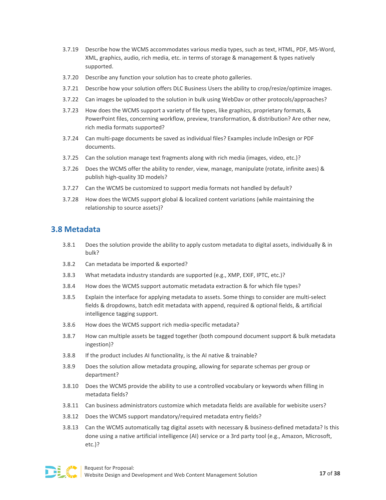- 3.7.19 Describe how the WCMS accommodates various media types, such as text, HTML, PDF, MS-Word, XML, graphics, audio, rich media, etc. in terms of storage & management & types natively supported.
- 3.7.20 Describe any function your solution has to create photo galleries.
- 3.7.21 Describe how your solution offers DLC Business Users the ability to crop/resize/optimize images.
- 3.7.22 Can images be uploaded to the solution in bulk using WebDav or other protocols/approaches?
- 3.7.23 How does the WCMS support a variety of file types, like graphics, proprietary formats, & PowerPoint files, concerning workflow, preview, transformation, & distribution? Are other new, rich media formats supported?
- 3.7.24 Can multi-page documents be saved as individual files? Examples include InDesign or PDF documents.
- 3.7.25 Can the solution manage text fragments along with rich media (images, video, etc.)?
- 3.7.26 Does the WCMS offer the ability to render, view, manage, manipulate (rotate, infinite axes) & publish high-quality 3D models?
- 3.7.27 Can the WCMS be customized to support media formats not handled by default?
- 3.7.28 How does the WCMS support global & localized content variations (while maintaining the relationship to source assets)?

### **3.8 Metadata**

- 3.8.1 Does the solution provide the ability to apply custom metadata to digital assets, individually & in bulk?
- 3.8.2 Can metadata be imported & exported?
- 3.8.3 What metadata industry standards are supported (e.g., XMP, EXIF, IPTC, etc.)?
- 3.8.4 How does the WCMS support automatic metadata extraction & for which file types?
- 3.8.5 Explain the interface for applying metadata to assets. Some things to consider are multi-select fields & dropdowns, batch edit metadata with append, required & optional fields, & artificial intelligence tagging support.
- 3.8.6 How does the WCMS support rich media-specific metadata?
- 3.8.7 How can multiple assets be tagged together (both compound document support & bulk metadata ingestion)?
- 3.8.8 If the product includes AI functionality, is the AI native & trainable?
- 3.8.9 Does the solution allow metadata grouping, allowing for separate schemas per group or department?
- 3.8.10 Does the WCMS provide the ability to use a controlled vocabulary or keywords when filling in metadata fields?
- 3.8.11 Can business administrators customize which metadata fields are available for webisite users?
- 3.8.12 Does the WCMS support mandatory/required metadata entry fields?
- 3.8.13 Can the WCMS automatically tag digital assets with necessary & business-defined metadata? Is this done using a native artificial intelligence (AI) service or a 3rd party tool (e.g., Amazon, Microsoft, etc.)?

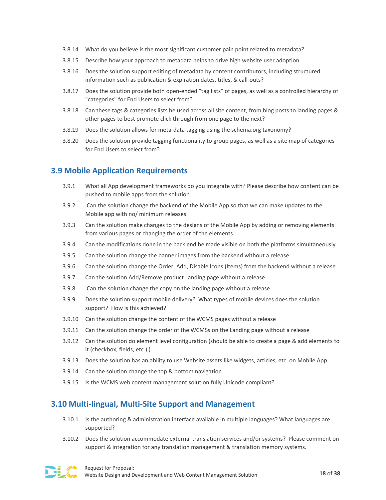- 3.8.14 What do you believe is the most significant customer pain point related to metadata?
- 3.8.15 Describe how your approach to metadata helps to drive high website user adoption.
- 3.8.16 Does the solution support editing of metadata by content contributors, including structured information such as publication & expiration dates, titles, & call-outs?
- 3.8.17 Does the solution provide both open-ended "tag lists" of pages, as well as a controlled hierarchy of "categories" for End Users to select from?
- 3.8.18 Can these tags & categories lists be used across all site content, from blog posts to landing pages & other pages to best promote click through from one page to the next?
- 3.8.19 Does the solution allows for meta-data tagging using the schema.org taxonomy?
- 3.8.20 Does the solution provide tagging functionality to group pages, as well as a site map of categories for End Users to select from?

# **3.9 Mobile Application Requirements**

- 3.9.1 What all App development frameworks do you integrate with? Please describe how content can be pushed to mobile apps from the solution.
- 3.9.2 Can the solution change the backend of the Mobile App so that we can make updates to the Mobile app with no/ minimum releases
- 3.9.3 Can the solution make changes to the designs of the Mobile App by adding or removing elements from various pages or changing the order of the elements
- 3.9.4 Can the modifications done in the back end be made visible on both the platforms simultaneously
- 3.9.5 Can the solution change the banner images from the backend without a release
- 3.9.6 Can the solution change the Order, Add, Disable Icons (Items) from the backend without a release
- 3.9.7 Can the solution Add/Remove product Landing page without a release
- 3.9.8 Can the solution change the copy on the landing page without a release
- 3.9.9 Does the solution support mobile delivery? What types of mobile devices does the solution support? How is this achieved?
- 3.9.10 Can the solution change the content of the WCMS pages without a release
- 3.9.11 Can the solution change the order of the WCMSs on the Landing page without a release
- 3.9.12 Can the solution do element level configuration (should be able to create a page & add elements to it (checkbox, fields, etc.) )
- 3.9.13 Does the solution has an ability to use Website assets like widgets, articles, etc. on Mobile App
- 3.9.14 Can the solution change the top & bottom navigation
- 3.9.15 Is the WCMS web content management solution fully Unicode compliant?

# **3.10 Multi-lingual, Multi-Site Support and Management**

- 3.10.1 Is the authoring & administration interface available in multiple languages? What languages are supported?
- 3.10.2 Does the solution accommodate external translation services and/or systems? Please comment on support & integration for any translation management & translation memory systems.

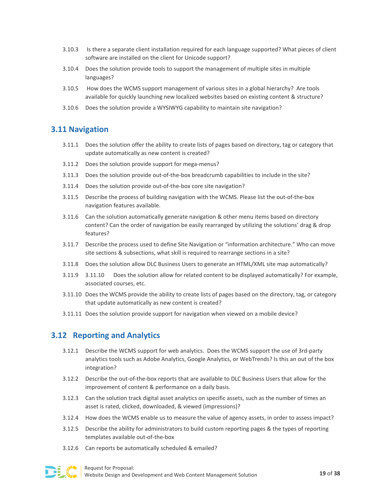- 3.10.3 Is there a separate client installation required for each language supported? What pieces of client software are installed on the client for Unicode support?
- 3.10.4 Does the solution provide tools to support the management of multiple sites in multiple languages?
- 3.10.5 How does the WCMS support management of various sites in a global hierarchy? Are tools available for quickly launching new localized websites based on existing content & structure?
- 3.10.6 Does the solution provide a WYSIWYG capability to maintain site navigation?

### **3.11 Navigation**

- 3.11.1 Does the solution offer the ability to create lists of pages based on directory, tag or category that update automatically as new content is created?
- 3.11.2 Does the solution provide support for mega-menus?
- 3.11.3 Does the solution provide out-of-the-box breadcrumb capabilities to include in the site?
- 3.11.4 Does the solution provide out-of-the-box core site navigation?
- 3.11.5 Describe the process of building navigation with the WCMS. Please list the out-of-the-box navigation features available.
- 3.11.6 Can the solution automatically generate navigation & other menu items based on directory content? Can the order of navigation be easily rearranged by utilizing the solutions' drag & drop features?
- 3.11.7 Describe the process used to define Site Navigation or "information architecture." Who can move site sections & subsections, what skill is required to rearrange sections in a site?
- 3.11.8 Does the solution allow DLC Business Users to generate an HTML/XML site map automatically?
- 3.11.9 3.11.10 Does the solution allow for related content to be displayed automatically? For example, associated courses, etc.
- 3.11.10 Does the WCMS provide the ability to create lists of pages based on the directory, tag, or category that update automatically as new content is created?
- 3.11.11 Does the solution provide support for navigation when viewed on a mobile device?

# **3.12 Reporting and Analytics**

- 3.12.1 Describe the WCMS support for web analytics. Does the WCMS support the use of 3rd-party analytics tools such as Adobe Analytics, Google Analytics, or WebTrends? Is this an out of the box integration?
- 3.12.2 Describe the out-of-the-box reports that are available to DLC Business Users that allow for the improvement of content & performance on a daily basis.
- 3.12.3 Can the solution track digital asset analytics on specific assets, such as the number of times an asset is rated, clicked, downloaded, & viewed (impressions)?
- 3.12.4 How does the WCMS enable us to measure the value of agency assets, in order to assess impact?
- 3.12.5 Describe the ability for administrators to build custom reporting pages & the types of reporting templates available out-of-the-box
- 3.12.6 Can reports be automatically scheduled & emailed?

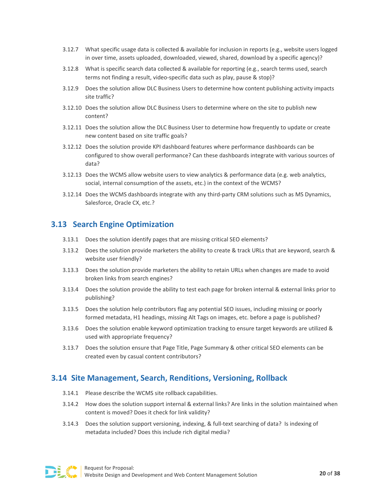- 3.12.7 What specific usage data is collected & available for inclusion in reports (e.g., website users logged in over time, assets uploaded, downloaded, viewed, shared, download by a specific agency)?
- 3.12.8 What is specific search data collected & available for reporting (e.g., search terms used, search terms not finding a result, video-specific data such as play, pause & stop)?
- 3.12.9 Does the solution allow DLC Business Users to determine how content publishing activity impacts site traffic?
- 3.12.10 Does the solution allow DLC Business Users to determine where on the site to publish new content?
- 3.12.11 Does the solution allow the DLC Business User to determine how frequently to update or create new content based on site traffic goals?
- 3.12.12 Does the solution provide KPI dashboard features where performance dashboards can be configured to show overall performance? Can these dashboards integrate with various sources of data?
- 3.12.13 Does the WCMS allow website users to view analytics & performance data (e.g. web analytics, social, internal consumption of the assets, etc.) in the context of the WCMS?
- 3.12.14 Does the WCMS dashboards integrate with any third-party CRM solutions such as MS Dynamics, Salesforce, Oracle CX, etc.?

### **3.13 Search Engine Optimization**

- 3.13.1 Does the solution identify pages that are missing critical SEO elements?
- 3.13.2 Does the solution provide marketers the ability to create & track URLs that are keyword, search & website user friendly?
- 3.13.3 Does the solution provide marketers the ability to retain URLs when changes are made to avoid broken links from search engines?
- 3.13.4 Does the solution provide the ability to test each page for broken internal & external links prior to publishing?
- 3.13.5 Does the solution help contributors flag any potential SEO issues, including missing or poorly formed metadata, H1 headings, missing Alt Tags on images, etc. before a page is published?
- 3.13.6 Does the solution enable keyword optimization tracking to ensure target keywords are utilized & used with appropriate frequency?
- 3.13.7 Does the solution ensure that Page Title, Page Summary & other critical SEO elements can be created even by casual content contributors?

# **3.14 Site Management, Search, Renditions, Versioning, Rollback**

- 3.14.1 Please describe the WCMS site rollback capabilities.
- 3.14.2 How does the solution support internal & external links? Are links in the solution maintained when content is moved? Does it check for link validity?
- 3.14.3 Does the solution support versioning, indexing, & full-text searching of data? Is indexing of metadata included? Does this include rich digital media?

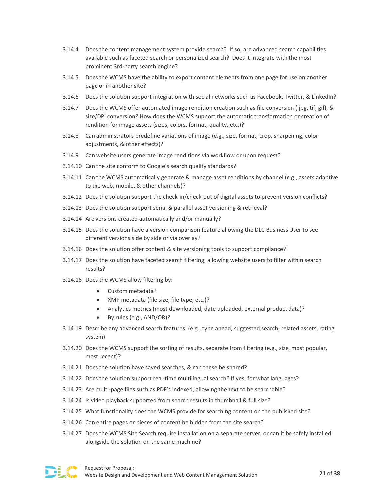- 3.14.4 Does the content management system provide search? If so, are advanced search capabilities available such as faceted search or personalized search? Does it integrate with the most prominent 3rd-party search engine?
- 3.14.5 Does the WCMS have the ability to export content elements from one page for use on another page or in another site?
- 3.14.6 Does the solution support integration with social networks such as Facebook, Twitter, & LinkedIn?
- 3.14.7 Does the WCMS offer automated image rendition creation such as file conversion (.jpg, tif, gif), & size/DPI conversion? How does the WCMS support the automatic transformation or creation of rendition for image assets (sizes, colors, format, quality, etc.)?
- 3.14.8 Can administrators predefine variations of image (e.g., size, format, crop, sharpening, color adjustments, & other effects)?
- 3.14.9 Can website users generate image renditions via workflow or upon request?
- 3.14.10 Can the site conform to Google's search quality standards?
- 3.14.11 Can the WCMS automatically generate & manage asset renditions by channel (e.g., assets adaptive to the web, mobile, & other channels)?
- 3.14.12 Does the solution support the check-in/check-out of digital assets to prevent version conflicts?
- 3.14.13 Does the solution support serial & parallel asset versioning & retrieval?
- 3.14.14 Are versions created automatically and/or manually?
- 3.14.15 Does the solution have a version comparison feature allowing the DLC Business User to see different versions side by side or via overlay?
- 3.14.16 Does the solution offer content & site versioning tools to support compliance?
- 3.14.17 Does the solution have faceted search filtering, allowing website users to filter within search results?
- 3.14.18 Does the WCMS allow filtering by:
	- Custom metadata?
	- XMP metadata (file size, file type, etc.)?
	- Analytics metrics (most downloaded, date uploaded, external product data)?
	- By rules (e.g., AND/OR)?
- 3.14.19 Describe any advanced search features. (e.g., type ahead, suggested search, related assets, rating system)
- 3.14.20 Does the WCMS support the sorting of results, separate from filtering (e.g., size, most popular, most recent)?
- 3.14.21 Does the solution have saved searches, & can these be shared?
- 3.14.22 Does the solution support real-time multilingual search? If yes, for what languages?
- 3.14.23 Are multi-page files such as PDF's indexed, allowing the text to be searchable?
- 3.14.24 Is video playback supported from search results in thumbnail & full size?
- 3.14.25 What functionality does the WCMS provide for searching content on the published site?
- 3.14.26 Can entire pages or pieces of content be hidden from the site search?
- 3.14.27 Does the WCMS Site Search require installation on a separate server, or can it be safely installed alongside the solution on the same machine?

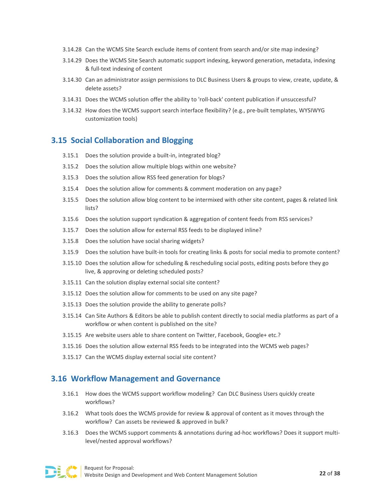- 3.14.28 Can the WCMS Site Search exclude items of content from search and/or site map indexing?
- 3.14.29 Does the WCMS Site Search automatic support indexing, keyword generation, metadata, indexing & full-text indexing of content
- 3.14.30 Can an administrator assign permissions to DLC Business Users & groups to view, create, update, & delete assets?
- 3.14.31 Does the WCMS solution offer the ability to 'roll-back' content publication if unsuccessful?
- 3.14.32 How does the WCMS support search interface flexibility? (e.g., pre-built templates, WYSIWYG customization tools)

#### **3.15 Social Collaboration and Blogging**

- 3.15.1 Does the solution provide a built-in, integrated blog?
- 3.15.2 Does the solution allow multiple blogs within one website?
- 3.15.3 Does the solution allow RSS feed generation for blogs?
- 3.15.4 Does the solution allow for comments & comment moderation on any page?
- 3.15.5 Does the solution allow blog content to be intermixed with other site content, pages & related link lists?
- 3.15.6 Does the solution support syndication & aggregation of content feeds from RSS services?
- 3.15.7 Does the solution allow for external RSS feeds to be displayed inline?
- 3.15.8 Does the solution have social sharing widgets?
- 3.15.9 Does the solution have built-in tools for creating links & posts for social media to promote content?
- 3.15.10 Does the solution allow for scheduling & rescheduling social posts, editing posts before they go live, & approving or deleting scheduled posts?
- 3.15.11 Can the solution display external social site content?
- 3.15.12 Does the solution allow for comments to be used on any site page?
- 3.15.13 Does the solution provide the ability to generate polls?
- 3.15.14 Can Site Authors & Editors be able to publish content directly to social media platforms as part of a workflow or when content is published on the site?
- 3.15.15 Are website users able to share content on Twitter, Facebook, Google+ etc.?
- 3.15.16 Does the solution allow external RSS feeds to be integrated into the WCMS web pages?
- 3.15.17 Can the WCMS display external social site content?

#### **3.16 Workflow Management and Governance**

- 3.16.1 How does the WCMS support workflow modeling? Can DLC Business Users quickly create workflows?
- 3.16.2 What tools does the WCMS provide for review & approval of content as it moves through the workflow? Can assets be reviewed & approved in bulk?
- 3.16.3 Does the WCMS support comments & annotations during ad-hoc workflows? Does it support multilevel/nested approval workflows?

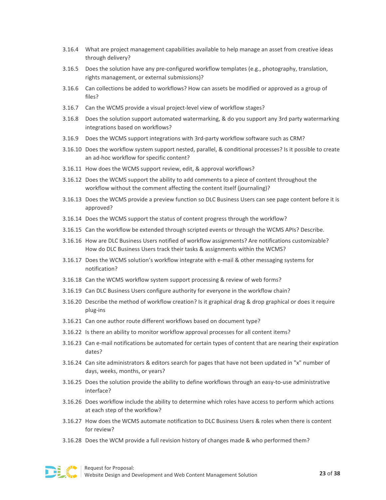- 3.16.4 What are project management capabilities available to help manage an asset from creative ideas through delivery?
- 3.16.5 Does the solution have any pre-configured workflow templates (e.g., photography, translation, rights management, or external submissions)?
- 3.16.6 Can collections be added to workflows? How can assets be modified or approved as a group of files?
- 3.16.7 Can the WCMS provide a visual project-level view of workflow stages?
- 3.16.8 Does the solution support automated watermarking, & do you support any 3rd party watermarking integrations based on workflows?
- 3.16.9 Does the WCMS support integrations with 3rd-party workflow software such as CRM?
- 3.16.10 Does the workflow system support nested, parallel, & conditional processes? Is it possible to create an ad-hoc workflow for specific content?
- 3.16.11 How does the WCMS support review, edit, & approval workflows?
- 3.16.12 Does the WCMS support the ability to add comments to a piece of content throughout the workflow without the comment affecting the content itself (journaling)?
- 3.16.13 Does the WCMS provide a preview function so DLC Business Users can see page content before it is approved?
- 3.16.14 Does the WCMS support the status of content progress through the workflow?
- 3.16.15 Can the workflow be extended through scripted events or through the WCMS APIs? Describe.
- 3.16.16 How are DLC Business Users notified of workflow assignments? Are notifications customizable? How do DLC Business Users track their tasks & assignments within the WCMS?
- 3.16.17 Does the WCMS solution's workflow integrate with e-mail & other messaging systems for notification?
- 3.16.18 Can the WCMS workflow system support processing & review of web forms?
- 3.16.19 Can DLC Business Users configure authority for everyone in the workflow chain?
- 3.16.20 Describe the method of workflow creation? Is it graphical drag & drop graphical or does it require plug-ins
- 3.16.21 Can one author route different workflows based on document type?
- 3.16.22 Is there an ability to monitor workflow approval processes for all content items?
- 3.16.23 Can e-mail notifications be automated for certain types of content that are nearing their expiration dates?
- 3.16.24 Can site administrators & editors search for pages that have not been updated in "x" number of days, weeks, months, or years?
- 3.16.25 Does the solution provide the ability to define workflows through an easy-to-use administrative interface?
- 3.16.26 Does workflow include the ability to determine which roles have access to perform which actions at each step of the workflow?
- 3.16.27 How does the WCMS automate notification to DLC Business Users & roles when there is content for review?
- 3.16.28 Does the WCM provide a full revision history of changes made & who performed them?

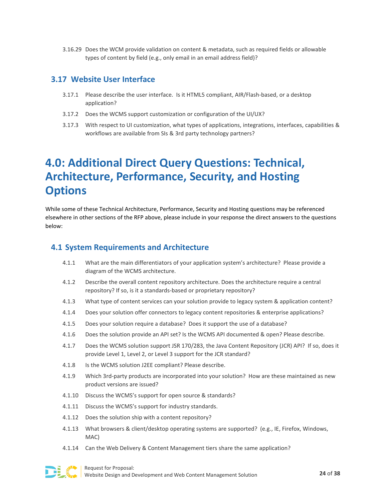3.16.29 Does the WCM provide validation on content & metadata, such as required fields or allowable types of content by field (e.g., only email in an email address field)?

### **3.17 Website User Interface**

- 3.17.1 Please describe the user interface. Is it HTML5 compliant, AIR/Flash-based, or a desktop application?
- 3.17.2 Does the WCMS support customization or configuration of the UI/UX?
- 3.17.3 With respect to UI customization, what types of applications, integrations, interfaces, capabilities & workflows are available from SIs & 3rd party technology partners?

# <span id="page-24-0"></span>**4.0: Additional Direct Query Questions: Technical, Architecture, Performance, Security, and Hosting Options**

While some of these Technical Architecture, Performance, Security and Hosting questions may be referenced elsewhere in other sections of the RFP above, please include in your response the direct answers to the questions below:

### **4.1 System Requirements and Architecture**

- 4.1.1 What are the main differentiators of your application system's architecture? Please provide a diagram of the WCMS architecture.
- 4.1.2 Describe the overall content repository architecture. Does the architecture require a central repository? If so, is it a standards-based or proprietary repository?
- 4.1.3 What type of content services can your solution provide to legacy system & application content?
- 4.1.4 Does your solution offer connectors to legacy content repositories & enterprise applications?
- 4.1.5 Does your solution require a database? Does it support the use of a database?
- 4.1.6 Does the solution provide an API set? Is the WCMS API documented & open? Please describe.
- 4.1.7 Does the WCMS solution support JSR 170/283, the Java Content Repository (JCR) API? If so, does it provide Level 1, Level 2, or Level 3 support for the JCR standard?
- 4.1.8 Is the WCMS solution J2EE compliant? Please describe.
- 4.1.9 Which 3rd-party products are incorporated into your solution? How are these maintained as new product versions are issued?
- 4.1.10 Discuss the WCMS's support for open source & standards?
- 4.1.11 Discuss the WCMS's support for industry standards.
- 4.1.12 Does the solution ship with a content repository?
- 4.1.13 What browsers & client/desktop operating systems are supported? (e.g., IE, Firefox, Windows, MAC)
- 4.1.14 Can the Web Delivery & Content Management tiers share the same application?

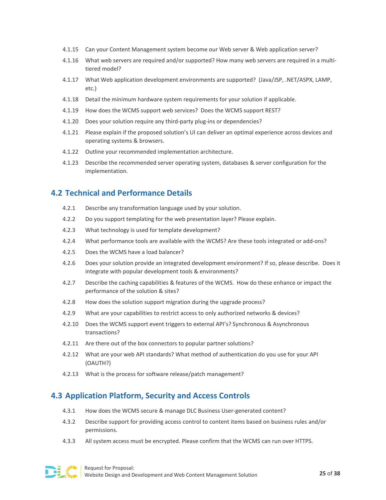- 4.1.15 Can your Content Management system become our Web server & Web application server?
- 4.1.16 What web servers are required and/or supported? How many web servers are required in a multitiered model?
- 4.1.17 What Web application development environments are supported? (Java/JSP, .NET/ASPX, LAMP, etc.)
- 4.1.18 Detail the minimum hardware system requirements for your solution if applicable.
- 4.1.19 How does the WCMS support web services? Does the WCMS support REST?
- 4.1.20 Does your solution require any third-party plug-ins or dependencies?
- 4.1.21 Please explain if the proposed solution's UI can deliver an optimal experience across devices and operating systems & browsers.
- 4.1.22 Outline your recommended implementation architecture.
- 4.1.23 Describe the recommended server operating system, databases & server configuration for the implementation.

# **4.2 Technical and Performance Details**

- 4.2.1 Describe any transformation language used by your solution.
- 4.2.2 Do you support templating for the web presentation layer? Please explain.
- 4.2.3 What technology is used for template development?
- 4.2.4 What performance tools are available with the WCMS? Are these tools integrated or add-ons?
- 4.2.5 Does the WCMS have a load balancer?
- 4.2.6 Does your solution provide an integrated development environment? If so, please describe. Does it integrate with popular development tools & environments?
- 4.2.7 Describe the caching capabilities & features of the WCMS. How do these enhance or impact the performance of the solution & sites?
- 4.2.8 How does the solution support migration during the upgrade process?
- 4.2.9 What are your capabilities to restrict access to only authorized networks & devices?
- 4.2.10 Does the WCMS support event triggers to external API's? Synchronous & Asynchronous transactions?
- 4.2.11 Are there out of the box connectors to popular partner solutions?
- 4.2.12 What are your web API standards? What method of authentication do you use for your API (OAUTH?)
- 4.2.13 What is the process for software release/patch management?

### **4.3 Application Platform, Security and Access Controls**

- 4.3.1 How does the WCMS secure & manage DLC Business User-generated content?
- 4.3.2 Describe support for providing access control to content items based on business rules and/or permissions.
- 4.3.3 All system access must be encrypted. Please confirm that the WCMS can run over HTTPS.

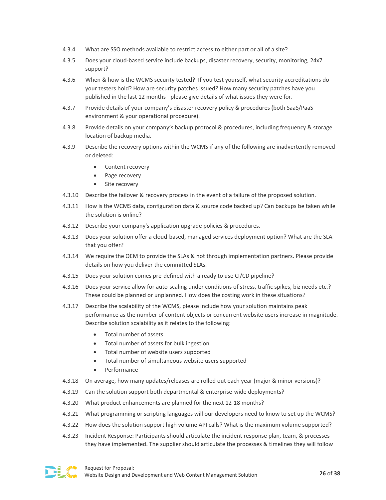- 4.3.4 What are SSO methods available to restrict access to either part or all of a site?
- 4.3.5 Does your cloud-based service include backups, disaster recovery, security, monitoring, 24x7 support?
- 4.3.6 When & how is the WCMS security tested? If you test yourself, what security accreditations do your testers hold? How are security patches issued? How many security patches have you published in the last 12 months - please give details of what issues they were for.
- 4.3.7 Provide details of your company's disaster recovery policy & procedures (both SaaS/PaaS environment & your operational procedure).
- 4.3.8 Provide details on your company's backup protocol & procedures, including frequency & storage location of backup media.
- 4.3.9 Describe the recovery options within the WCMS if any of the following are inadvertently removed or deleted:
	- Content recovery
	- Page recovery
	- Site recovery
- 4.3.10 Describe the failover & recovery process in the event of a failure of the proposed solution.
- 4.3.11 How is the WCMS data, configuration data & source code backed up? Can backups be taken while the solution is online?
- 4.3.12 Describe your company's application upgrade policies & procedures.
- 4.3.13 Does your solution offer a cloud-based, managed services deployment option? What are the SLA that you offer?
- 4.3.14 We require the OEM to provide the SLAs & not through implementation partners. Please provide details on how you deliver the committed SLAs.
- 4.3.15 Does your solution comes pre-defined with a ready to use CI/CD pipeline?
- 4.3.16 Does your service allow for auto-scaling under conditions of stress, traffic spikes, biz needs etc.? These could be planned or unplanned. How does the costing work in these situations?
- 4.3.17 Describe the scalability of the WCMS, please include how your solution maintains peak performance as the number of content objects or concurrent website users increase in magnitude. Describe solution scalability as it relates to the following:
	- Total number of assets
	- Total number of assets for bulk ingestion
	- Total number of website users supported
	- Total number of simultaneous website users supported
	- Performance
- 4.3.18 On average, how many updates/releases are rolled out each year (major & minor versions)?
- 4.3.19 Can the solution support both departmental & enterprise-wide deployments?
- 4.3.20 What product enhancements are planned for the next 12-18 months?
- 4.3.21 What programming or scripting languages will our developers need to know to set up the WCMS?
- 4.3.22 How does the solution support high volume API calls? What is the maximum volume supported?
- 4.3.23 Incident Response: Participants should articulate the incident response plan, team, & processes they have implemented. The supplier should articulate the processes & timelines they will follow

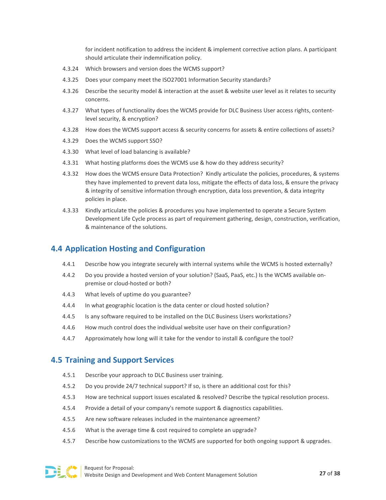for incident notification to address the incident & implement corrective action plans. A participant should articulate their indemnification policy.

- 4.3.24 Which browsers and version does the WCMS support?
- 4.3.25 Does your company meet the ISO27001 Information Security standards?
- 4.3.26 Describe the security model & interaction at the asset & website user level as it relates to security concerns.
- 4.3.27 What types of functionality does the WCMS provide for DLC Business User access rights, contentlevel security, & encryption?
- 4.3.28 How does the WCMS support access & security concerns for assets & entire collections of assets?
- 4.3.29 Does the WCMS support SSO?
- 4.3.30 What level of load balancing is available?
- 4.3.31 What hosting platforms does the WCMS use & how do they address security?
- 4.3.32 How does the WCMS ensure Data Protection? Kindly articulate the policies, procedures, & systems they have implemented to prevent data loss, mitigate the effects of data loss, & ensure the privacy & integrity of sensitive information through encryption, data loss prevention, & data integrity policies in place.
- 4.3.33 Kindly articulate the policies & procedures you have implemented to operate a Secure System Development Life Cycle process as part of requirement gathering, design, construction, verification, & maintenance of the solutions.

### **4.4 Application Hosting and Configuration**

- 4.4.1 Describe how you integrate securely with internal systems while the WCMS is hosted externally?
- 4.4.2 Do you provide a hosted version of your solution? (SaaS, PaaS, etc.) Is the WCMS available onpremise or cloud-hosted or both?
- 4.4.3 What levels of uptime do you guarantee?
- 4.4.4 In what geographic location is the data center or cloud hosted solution?
- 4.4.5 Is any software required to be installed on the DLC Business Users workstations?
- 4.4.6 How much control does the individual website user have on their configuration?
- 4.4.7 Approximately how long will it take for the vendor to install & configure the tool?

# **4.5 Training and Support Services**

- 4.5.1 Describe your approach to DLC Business user training.
- 4.5.2 Do you provide 24/7 technical support? If so, is there an additional cost for this?
- 4.5.3 How are technical support issues escalated & resolved? Describe the typical resolution process.
- 4.5.4 Provide a detail of your company's remote support & diagnostics capabilities.
- 4.5.5 Are new software releases included in the maintenance agreement?
- 4.5.6 What is the average time & cost required to complete an upgrade?
- 4.5.7 Describe how customizations to the WCMS are supported for both ongoing support & upgrades.

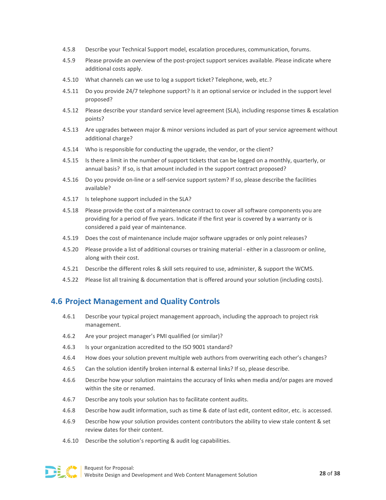- 4.5.8 Describe your Technical Support model, escalation procedures, communication, forums.
- 4.5.9 Please provide an overview of the post-project support services available. Please indicate where additional costs apply.
- 4.5.10 What channels can we use to log a support ticket? Telephone, web, etc.?
- 4.5.11 Do you provide 24/7 telephone support? Is it an optional service or included in the support level proposed?
- 4.5.12 Please describe your standard service level agreement (SLA), including response times & escalation points?
- 4.5.13 Are upgrades between major & minor versions included as part of your service agreement without additional charge?
- 4.5.14 Who is responsible for conducting the upgrade, the vendor, or the client?
- 4.5.15 Is there a limit in the number of support tickets that can be logged on a monthly, quarterly, or annual basis? If so, is that amount included in the support contract proposed?
- 4.5.16 Do you provide on-line or a self-service support system? If so, please describe the facilities available?
- 4.5.17 Is telephone support included in the SLA?
- 4.5.18 Please provide the cost of a maintenance contract to cover all software components you are providing for a period of five years. Indicate if the first year is covered by a warranty or is considered a paid year of maintenance.
- 4.5.19 Does the cost of maintenance include major software upgrades or only point releases?
- 4.5.20 Please provide a list of additional courses or training material either in a classroom or online, along with their cost.
- 4.5.21 Describe the different roles & skill sets required to use, administer, & support the WCMS.
- 4.5.22 Please list all training & documentation that is offered around your solution (including costs).

# **4.6 Project Management and Quality Controls**

- 4.6.1 Describe your typical project management approach, including the approach to project risk management.
- 4.6.2 Are your project manager's PMI qualified (or similar)?
- 4.6.3 Is your organization accredited to the ISO 9001 standard?
- 4.6.4 How does your solution prevent multiple web authors from overwriting each other's changes?
- 4.6.5 Can the solution identify broken internal & external links? If so, please describe.
- 4.6.6 Describe how your solution maintains the accuracy of links when media and/or pages are moved within the site or renamed.
- 4.6.7 Describe any tools your solution has to facilitate content audits.
- 4.6.8 Describe how audit information, such as time & date of last edit, content editor, etc. is accessed.
- 4.6.9 Describe how your solution provides content contributors the ability to view stale content & set review dates for their content.
- 4.6.10 Describe the solution's reporting & audit log capabilities.

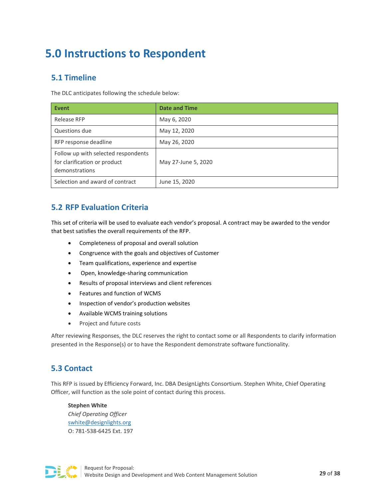# <span id="page-29-0"></span>**5.0 Instructions to Respondent**

# <span id="page-29-1"></span>**5.1 Timeline**

The DLC anticipates following the schedule below:

| <b>Event</b>                                                                          | <b>Date and Time</b> |
|---------------------------------------------------------------------------------------|----------------------|
| Release RFP                                                                           | May 6, 2020          |
| Questions due                                                                         | May 12, 2020         |
| RFP response deadline                                                                 | May 26, 2020         |
| Follow up with selected respondents<br>for clarification or product<br>demonstrations | May 27-June 5, 2020  |
| Selection and award of contract                                                       | June 15, 2020        |

# <span id="page-29-2"></span>**5.2 RFP Evaluation Criteria**

This set of criteria will be used to evaluate each vendor's proposal. A contract may be awarded to the vendor that best satisfies the overall requirements of the RFP.

- Completeness of proposal and overall solution
- Congruence with the goals and objectives of Customer
- Team qualifications, experience and expertise
- Open, knowledge-sharing communication
- Results of proposal interviews and client references
- Features and function of WCMS
- Inspection of vendor's production websites
- Available WCMS training solutions
- Project and future costs

After reviewing Responses, the DLC reserves the right to contact some or all Respondents to clarify information presented in the Response(s) or to have the Respondent demonstrate software functionality.

# <span id="page-29-3"></span>**5.3 Contact**

This RFP is issued by Efficiency Forward, Inc. DBA DesignLights Consortium. Stephen White, Chief Operating Officer, will function as the sole point of contact during this process.

**Stephen White** *Chief Operating Officer* [swhite@designlights.org](mailto:swhite@designlights.org) O: 781-538-6425 Ext. 197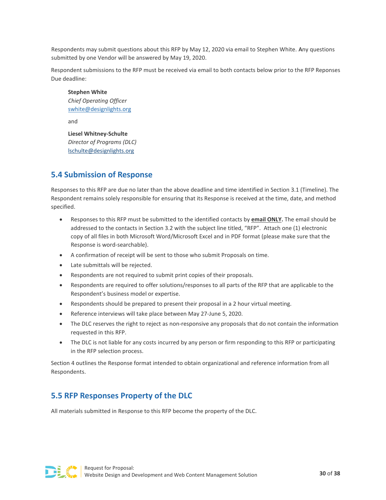Respondents may submit questions about this RFP by May 12, 2020 via email to Stephen White. Any questions submitted by one Vendor will be answered by May 19, 2020.

Respondent submissions to the RFP must be received via email to both contacts below prior to the RFP Reponses Due deadline:

**Stephen White** *Chief Operating Officer* [swhite@designlights.org](mailto:swhite@designlights.org)

and

**Liesel Whitney-Schulte** *Director of Programs (DLC)* [lschulte@designlights.org](mailto:lschulte@designlights.org)

# <span id="page-30-0"></span>**5.4 Submission of Response**

Responses to this RFP are due no later than the above deadline and time identified in Section 3.1 (Timeline). The Respondent remains solely responsible for ensuring that its Response is received at the time, date, and method specified.

- Responses to this RFP must be submitted to the identified contacts by **email ONLY.** The email should be addressed to the contacts in Section 3.2 with the subject line titled, "RFP". Attach one (1) electronic copy of all files in both Microsoft Word/Microsoft Excel and in PDF format (please make sure that the Response is word-searchable).
- A confirmation of receipt will be sent to those who submit Proposals on time.
- Late submittals will be rejected.
- Respondents are not required to submit print copies of their proposals.
- Respondents are required to offer solutions/responses to all parts of the RFP that are applicable to the Respondent's business model or expertise.
- Respondents should be prepared to present their proposal in a 2 hour virtual meeting.
- Reference interviews will take place between May 27-June 5, 2020.
- The DLC reserves the right to reject as non-responsive any proposals that do not contain the information requested in this RFP.
- The DLC is not liable for any costs incurred by any person or firm responding to this RFP or participating in the RFP selection process.

Section 4 outlines the Response format intended to obtain organizational and reference information from all Respondents.

# <span id="page-30-1"></span>**5.5 RFP Responses Property of the DLC**

All materials submitted in Response to this RFP become the property of the DLC.

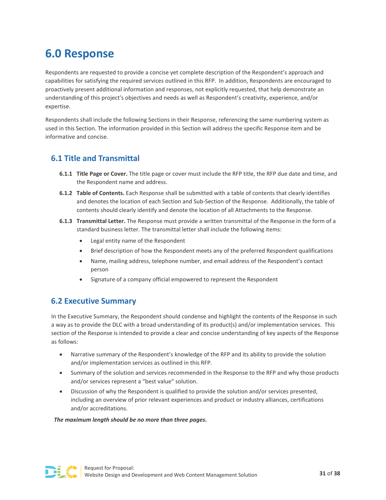# <span id="page-31-0"></span>**6.0 Response**

Respondents are requested to provide a concise yet complete description of the Respondent's approach and capabilities for satisfying the required services outlined in this RFP. In addition, Respondents are encouraged to proactively present additional information and responses, not explicitly requested, that help demonstrate an understanding of this project's objectives and needs as well as Respondent's creativity, experience, and/or expertise.

Respondents shall include the following Sections in their Response, referencing the same numbering system as used in this Section. The information provided in this Section will address the specific Response item and be informative and concise.

# <span id="page-31-1"></span>**6.1 Title and Transmittal**

- **6.1.1 Title Page or Cover.** The title page or cover must include the RFP title, the RFP due date and time, and the Respondent name and address.
- **6.1.2 Table of Contents.** Each Response shall be submitted with a table of contents that clearly identifies and denotes the location of each Section and Sub-Section of the Response. Additionally, the table of contents should clearly identify and denote the location of all Attachments to the Response.
- **6.1.3 Transmittal Letter.** The Response must provide a written transmittal of the Response in the form of a standard business letter. The transmittal letter shall include the following items:
	- Legal entity name of the Respondent
	- Brief description of how the Respondent meets any of the preferred Respondent qualifications
	- Name, mailing address, telephone number, and email address of the Respondent's contact person
	- Signature of a company official empowered to represent the Respondent

# <span id="page-31-2"></span>**6.2 Executive Summary**

In the Executive Summary, the Respondent should condense and highlight the contents of the Response in such a way as to provide the DLC with a broad understanding of its product(s) and/or implementation services. This section of the Response is intended to provide a clear and concise understanding of key aspects of the Response as follows:

- Narrative summary of the Respondent's knowledge of the RFP and its ability to provide the solution and/or implementation services as outlined in this RFP.
- Summary of the solution and services recommended in the Response to the RFP and why those products and/or services represent a "best value" solution.
- Discussion of why the Respondent is qualified to provide the solution and/or services presented, including an overview of prior relevant experiences and product or industry alliances, certifications and/or accreditations.

#### *The maximum length should be no more than three pages.*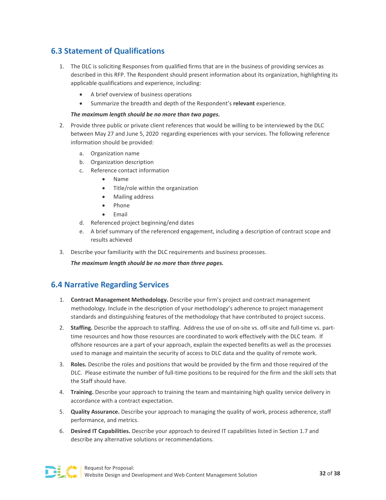# <span id="page-32-0"></span>**6.3 Statement of Qualifications**

- 1. The DLC is soliciting Responses from qualified firms that are in the business of providing services as described in this RFP. The Respondent should present information about its organization, highlighting its applicable qualifications and experience, including:
	- A brief overview of business operations
	- Summarize the breadth and depth of the Respondent's **relevant** experience.

#### *The maximum length should be no more than two pages.*

- 2. Provide three public or private client references that would be willing to be interviewed by the DLC between May 27 and June 5, 2020 regarding experiences with your services. The following reference information should be provided:
	- a. Organization name
	- b. Organization description
	- c. Reference contact information
		- Name
		- Title/role within the organization
		- Mailing address
		- Phone
		- Email
	- d. Referenced project beginning/end dates
	- e. A brief summary of the referenced engagement, including a description of contract scope and results achieved
- 3. Describe your familiarity with the DLC requirements and business processes.

*The maximum length should be no more than three pages.*

### <span id="page-32-1"></span>**6.4 Narrative Regarding Services**

- 1. **Contract Management Methodology.** Describe your firm's project and contract management methodology. Include in the description of your methodology's adherence to project management standards and distinguishing features of the methodology that have contributed to project success.
- 2. **Staffing.** Describe the approach to staffing. Address the use of on-site vs. off-site and full-time vs. parttime resources and how those resources are coordinated to work effectively with the DLC team. If offshore resources are a part of your approach, explain the expected benefits as well as the processes used to manage and maintain the security of access to DLC data and the quality of remote work.
- 3. **Roles.** Describe the roles and positions that would be provided by the firm and those required of the DLC. Please estimate the number of full-time positions to be required for the firm and the skill sets that the Staff should have.
- 4. **Training.** Describe your approach to training the team and maintaining high quality service delivery in accordance with a contract expectation.
- 5. **Quality Assurance.** Describe your approach to managing the quality of work, process adherence, staff performance, and metrics.
- 6. **Desired IT Capabilities.** Describe your approach to desired IT capabilities listed in Section 1.7 and describe any alternative solutions or recommendations.

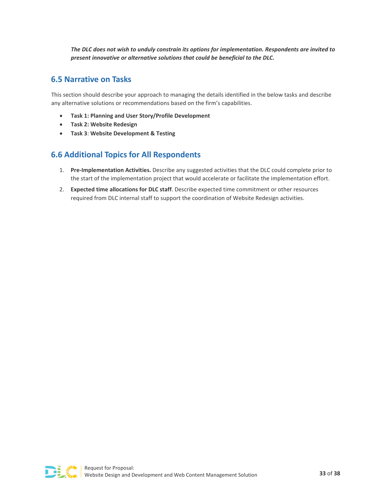*The DLC does not wish to unduly constrain its options for implementation. Respondents are invited to present innovative or alternative solutions that could be beneficial to the DLC.*

# <span id="page-33-0"></span>**6.5 Narrative on Tasks**

This section should describe your approach to managing the details identified in the below tasks and describe any alternative solutions or recommendations based on the firm's capabilities.

- **Task 1: Planning and User Story/Profile Development**
- **Task 2: Website Redesign**
- **Task 3**: **Website Development & Testing**

# <span id="page-33-1"></span>**6.6 Additional Topics for All Respondents**

- 1. **Pre-Implementation Activities.** Describe any suggested activities that the DLC could complete prior to the start of the implementation project that would accelerate or facilitate the implementation effort.
- 2. **Expected time allocations for DLC staff**. Describe expected time commitment or other resources required from DLC internal staff to support the coordination of Website Redesign activities.

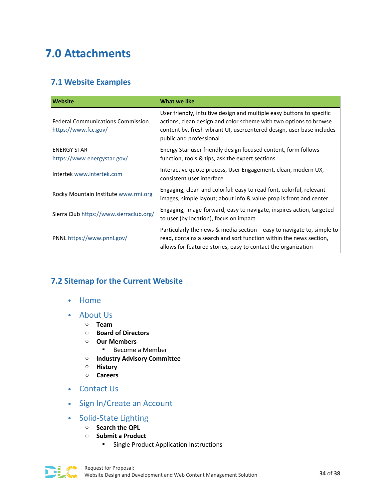# <span id="page-34-0"></span>**7.0 Attachments**

# <span id="page-34-1"></span>**7.1 Website Examples**

| <b>Website</b>                                                   | <b>What we like</b>                                                                                                                                                                                                                            |
|------------------------------------------------------------------|------------------------------------------------------------------------------------------------------------------------------------------------------------------------------------------------------------------------------------------------|
| <b>Federal Communications Commission</b><br>https://www.fcc.gov/ | User friendly, intuitive design and multiple easy buttons to specific<br>actions, clean design and color scheme with two options to browse<br>content by, fresh vibrant UI, usercentered design, user base includes<br>public and professional |
| <b>ENERGY STAR</b><br>https://www.energystar.gov/                | Energy Star user friendly design focused content, form follows<br>function, tools & tips, ask the expert sections                                                                                                                              |
| Intertek www.intertek.com                                        | Interactive quote process, User Engagement, clean, modern UX,<br>consistent user interface                                                                                                                                                     |
| Rocky Mountain Institute www.rmi.org                             | Engaging, clean and colorful: easy to read font, colorful, relevant<br>images, simple layout; about info & value prop is front and center                                                                                                      |
| Sierra Club https://www.sierraclub.org/                          | Engaging, image-forward, easy to navigate, inspires action, targeted<br>to user (by location), focus on impact                                                                                                                                 |
| PNNL https://www.pnnl.gov/                                       | Particularly the news & media section $-\frac{1}{2}$ easy to navigate to, simple to<br>read, contains a search and sort function within the news section,<br>allows for featured stories, easy to contact the organization                     |

# <span id="page-34-2"></span>**7.2 Sitemap for the Current Website**

- Home
- About Us
	- o **Team**
	- o **Board of Directors**
	- o **Our Members**
		- **Become a Member**
	- o **Industry Advisory Committee**
	- o **History**
	- o **Careers**
- Contact Us
- Sign In/Create an Account
- Solid-State Lighting
	- o **Search the QPL**
	- o **Submit a Product**
		- **Single Product Application Instructions**

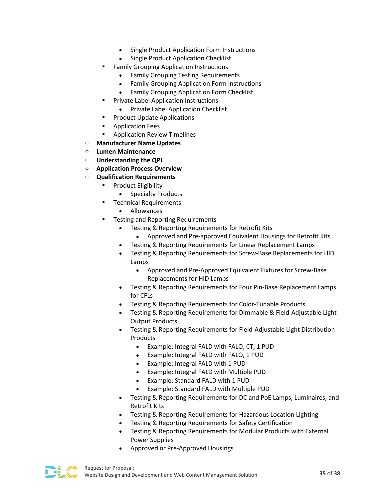- Single Product Application Form Instructions
- Single Product Application Checklist
- Family Grouping Application Instructions
	- Family Grouping Testing Requirements
	- Family Grouping Application Form Instructions
	- Family Grouping Application Form Checklist
- **Private Label Application Instructions** 
	- Private Label Application Checklist
- Product Update Applications
- **-** Application Fees
- Application Review Timelines
- o **Manufacturer Name Updates**
- o **Lumen Maintenance**
- o **Understanding the QPL**
- o **Application Process Overview**
- o **Qualification Requirements**
	- Product Eligibility
		- Specialty Products
	- Technical Requirements
		- Allowances
	- Testing and Reporting Requirements
		- Testing & Reporting Requirements for Retrofit Kits
			- Approved and Pre-approved Equivalent Housings for Retrofit Kits
		- Testing & Reporting Requirements for Linear Replacement Lamps
		- Testing & Reporting Requirements for Screw-Base Replacements for HID Lamps
			- Approved and Pre-Approved Equivalent Fixtures for Screw-Base Replacements for HID Lamps
		- Testing & Reporting Requirements for Four Pin-Base Replacement Lamps for CFLs
		- Testing & Reporting Requirements for Color-Tunable Products
		- Testing & Reporting Requirements for Dimmable & Field-Adjustable Light Output Products
		- Testing & Reporting Requirements for Field-Adjustable Light Distribution Products
			- Example: Integral FALD with FALO, CT, 1 PUD
			- Example: Integral FALD with FALO, 1 PUD
			- Example: Integral FALD with 1 PUD
			- Example: Integral FALD with Multiple PUD
			- Example: Standard FALD with 1 PUD
			- Example: Standard FALD with Multiple PUD
		- Testing & Reporting Requirements for DC and PoE Lamps, Luminaires, and Retrofit Kits
		- Testing & Reporting Requirements for Hazardous Location Lighting
		- Testing & Reporting Requirements for Safety Certification
		- Testing & Reporting Requirements for Modular Products with External Power Supplies
		- Approved or Pre-Approved Housings

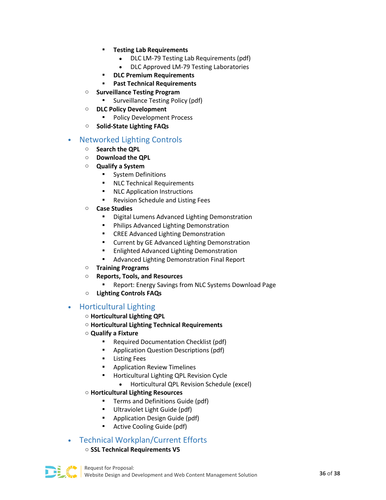- **Testing Lab Requirements**
	- DLC LM-79 Testing Lab Requirements (pdf)
	- DLC Approved LM-79 Testing Laboratories
- **DLC Premium Requirements**
- **Past Technical Requirements**
- o **Surveillance Testing Program**
	- **Surveillance Testing Policy (pdf)**
- o **DLC Policy Development**
	- **Policy Development Process**
- o **Solid-State Lighting FAQs**

#### • Networked Lighting Controls

- o **Search the QPL**
- o **Download the QPL**
- o **Qualify a System**
	- **System Definitions**
	- **NLC Technical Requirements**
	- **NLC Application Instructions**
	- **Revision Schedule and Listing Fees**
- o **Case Studies**
	- Digital Lumens Advanced Lighting Demonstration
	- **•** Philips Advanced Lighting Demonstration
	- CREE Advanced Lighting Demonstration
	- **E** Current by GE Advanced Lighting Demonstration
	- **Enlighted Advanced Lighting Demonstration**
	- **Advanced Lighting Demonstration Final Report**
- o **Training Programs**
- o **Reports, Tools, and Resources**
	- **Report: Energy Savings from NLC Systems Download Page**
- **Lighting Controls FAQs**

#### • Horticultural Lighting

- o **Horticultural Lighting QPL**
- o **Horticultural Lighting Technical Requirements**
- o **Qualify a Fixture**
	- **Required Documentation Checklist (pdf)**
	- Application Question Descriptions (pdf)
	- **Listing Fees**
	- Application Review Timelines
	- Horticultural Lighting QPL Revision Cycle
		- Horticultural QPL Revision Schedule (excel)

#### o **Horticultural Lighting Resources**

- Terms and Definitions Guide (pdf)
- **Ultraviolet Light Guide (pdf)**
- **•** Application Design Guide (pdf)
- Active Cooling Guide (pdf)

### • Technical Workplan/Current Efforts

#### o **SSL Technical Requirements V5**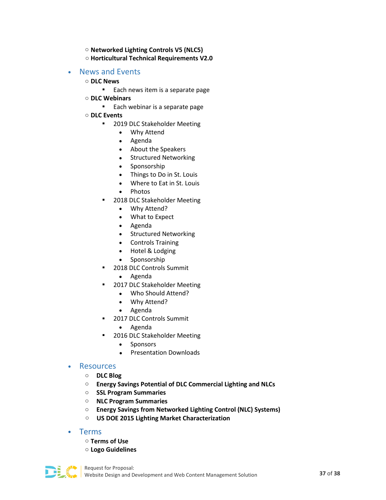o **Networked Lighting Controls V5 (NLC5)** o **Horticultural Technical Requirements V2.0**

#### • News and Events

- o **DLC News**
	- **Each news item is a separate page**
- o **DLC Webinars**
	- **Each webinar is a separate page**
- o **DLC Events**
	- **2019 DLC Stakeholder Meeting** 
		- Why Attend
		- Agenda
		- About the Speakers
		- Structured Networking
		- Sponsorship
		- Things to Do in St. Louis
		- Where to Eat in St. Louis
		- Photos
	- 2018 DLC Stakeholder Meeting
		- Why Attend?
		- What to Expect
		- Agenda
		- Structured Networking
		- Controls Training
		- Hotel & Lodging
		- Sponsorship
	- 2018 DLC Controls Summit
		- Agenda
	- 2017 DLC Stakeholder Meeting
		- Who Should Attend?
		- Why Attend?
		- Agenda
	- **2017 DLC Controls Summit** 
		- Agenda
	- 2016 DLC Stakeholder Meeting
		- Sponsors
		- Presentation Downloads

#### **Resources**

- o **DLC Blog**
- o **Energy Savings Potential of DLC Commercial Lighting and NLCs**
- o **SSL Program Summaries**
- o **NLC Program Summaries**
- o **Energy Savings from Networked Lighting Control (NLC) Systems)**
- o **US DOE 2015 Lighting Market Characterization**
- Terms
	- o **Terms of Use**
	- o **Logo Guidelines**